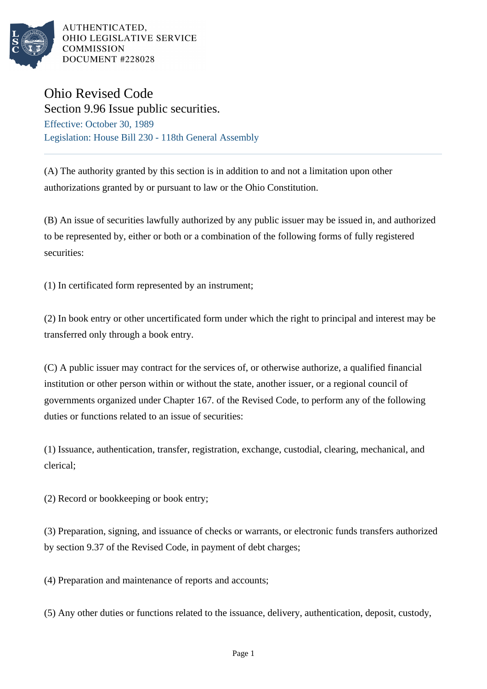

AUTHENTICATED. OHIO LEGISLATIVE SERVICE **COMMISSION** DOCUMENT #228028

## Ohio Revised Code

Section 9.96 Issue public securities. Effective: October 30, 1989 Legislation: House Bill 230 - 118th General Assembly

(A) The authority granted by this section is in addition to and not a limitation upon other authorizations granted by or pursuant to law or the Ohio Constitution.

(B) An issue of securities lawfully authorized by any public issuer may be issued in, and authorized to be represented by, either or both or a combination of the following forms of fully registered securities:

(1) In certificated form represented by an instrument;

(2) In book entry or other uncertificated form under which the right to principal and interest may be transferred only through a book entry.

(C) A public issuer may contract for the services of, or otherwise authorize, a qualified financial institution or other person within or without the state, another issuer, or a regional council of governments organized under Chapter 167. of the Revised Code, to perform any of the following duties or functions related to an issue of securities:

(1) Issuance, authentication, transfer, registration, exchange, custodial, clearing, mechanical, and clerical;

(2) Record or bookkeeping or book entry;

(3) Preparation, signing, and issuance of checks or warrants, or electronic funds transfers authorized by section 9.37 of the Revised Code, in payment of debt charges;

(4) Preparation and maintenance of reports and accounts;

(5) Any other duties or functions related to the issuance, delivery, authentication, deposit, custody,